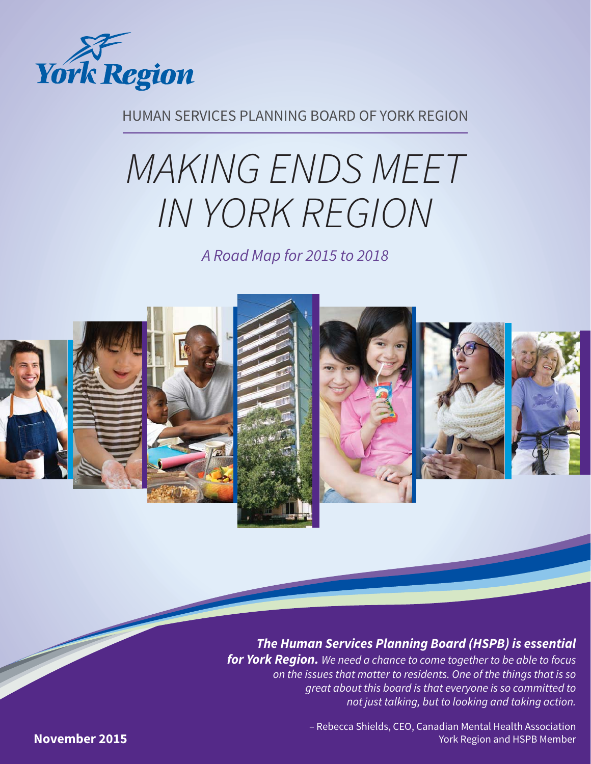

HUMAN SERVICES PLANNING BOARD OF YORK REGION

# MAKING ENDS MEET IN YORK REGION

A Road Map for 2015 to 2018



**The Human Services Planning Board (HSPB) is essential for York Region.** We need a chance to come together to be able to focus on the issues that matter to residents. One of the things that is so great about this board is that everyone is so committed to not just talking, but to looking and taking action.

 2 – Rebecca Shields, CEO, Canadian Mental Health Association **November 2015 York Region and HSPB Member November 2015**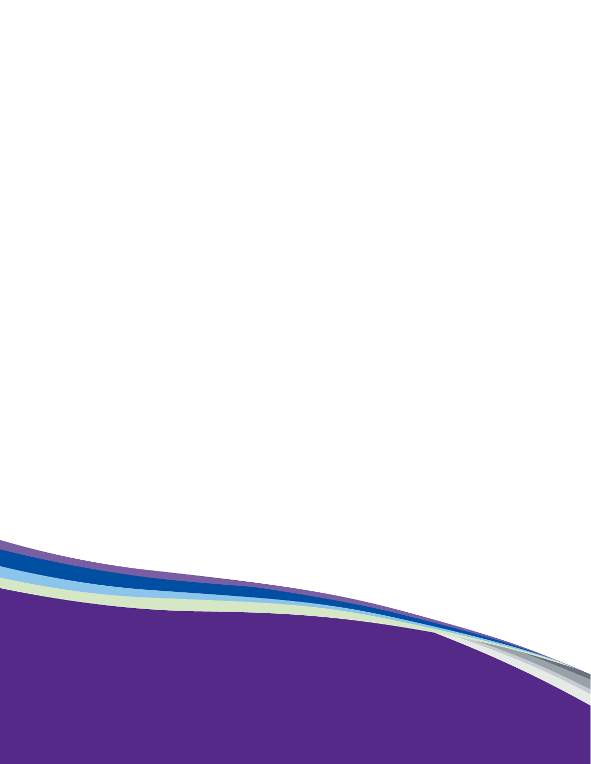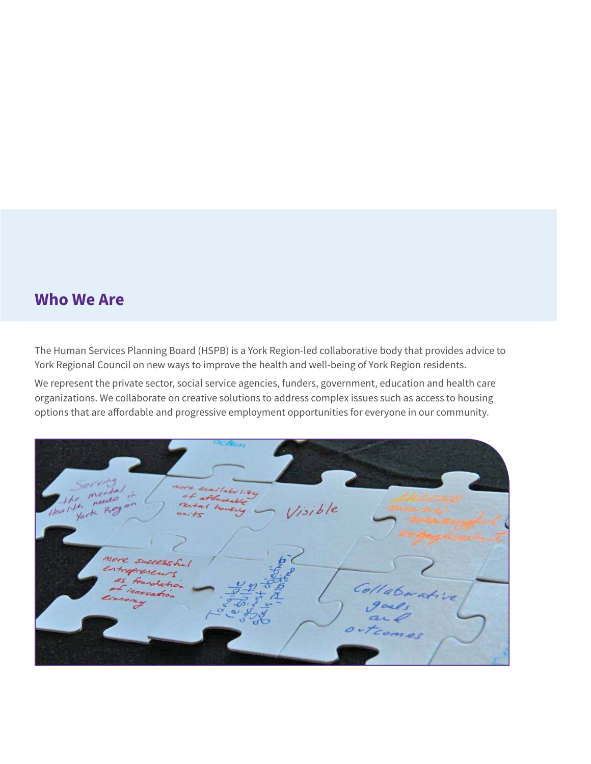### **Who We Are**

The Human Services Planning Board (HSPB) is a York Region-led collaborative body that provides advice to York Regional Council on new ways to improve the health and well-being of York Region residents.

We represent the private sector, social service agencies, funders, government, education and health care organizations. We collaborate on creative solutions to address complex issues such as access to housing options that are affordable and progressive employment opportunities for everyone in our community.

availabe 1.74 affordable  $\sigma$ - $\sqrt{2}$ ne reital how Visible York More success+  $\overline{\phantom{a}}$  $blacko$ Baratin inovatio.  $720$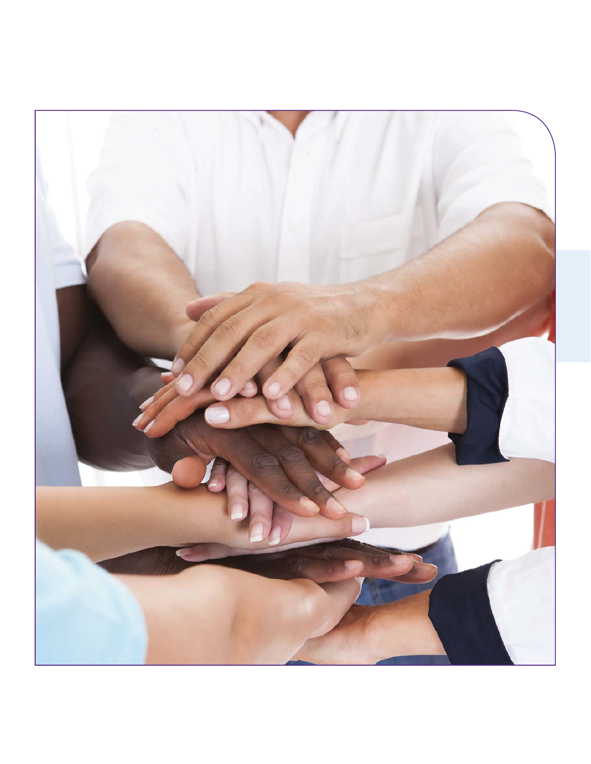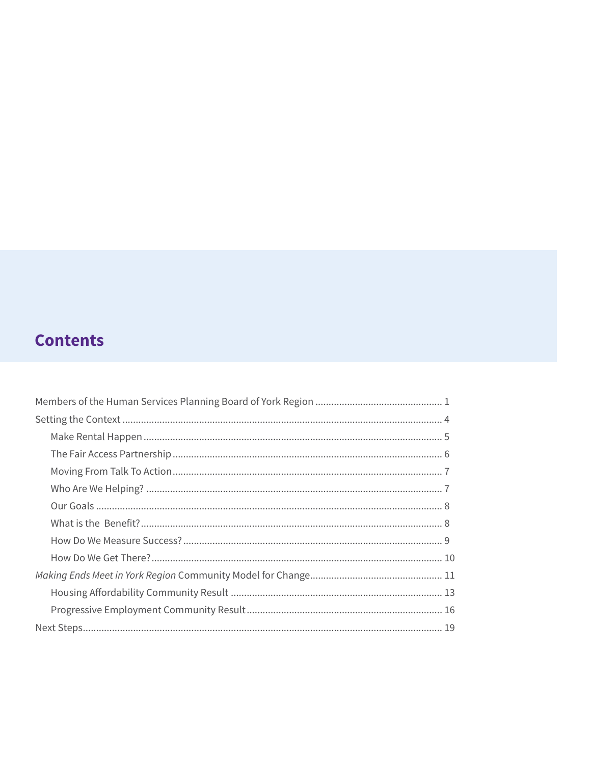### **Contents**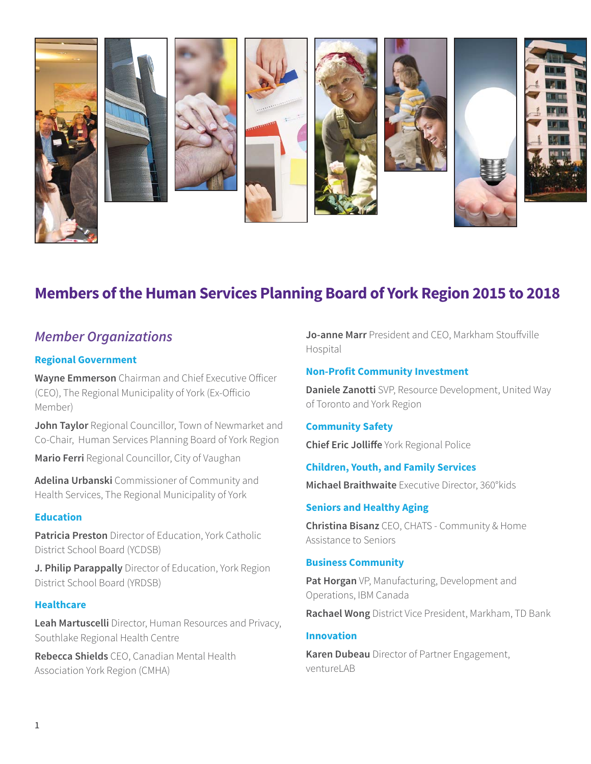

### **Members of the Human Services Planning Board of York Region 2015 to 2018**

### **Member Organizations**

### **Regional Government**

**Wayne Emmerson** Chairman and Chief Executive Officer (CEO), The Regional Municipality of York (Ex-Officio Member)

**John Taylor** Regional Councillor, Town of Newmarket and Co-Chair, Human Services Planning Board of York Region

**Mario Ferri** Regional Councillor, City of Vaughan

**Adelina Urbanski** Commissioner of Community and Health Services, The Regional Municipality of York

### **Education**

**Patricia Preston** Director of Education, York Catholic District School Board (YCDSB)

**J. Philip Parappally** Director of Education, York Region District School Board (YRDSB)

### **Healthcare**

**Leah Martuscelli** Director, Human Resources and Privacy, Southlake Regional Health Centre

**Rebecca Shields** CEO, Canadian Mental Health Association York Region (CMHA)

**Jo-anne Marr** President and CEO, Markham Stouffville Hospital

### **Non-Profit Community Investment**

**Daniele Zanotti** SVP, Resource Development, United Way of Toronto and York Region

### **Community Safety**

**Chief Eric Jolliffe** York Regional Police

### **Children, Youth, and Family Services**

**Michael Braithwaite** Executive Director, 360°kids

### **Seniors and Healthy Aging**

**Christina Bisanz** CEO, CHATS - Community & Home Assistance to Seniors

### **Business Community**

**Pat Horgan** VP, Manufacturing, Development and Operations, IBM Canada

**Rachael Wong** District Vice President, Markham, TD Bank

### **Innovation**

**Karen Dubeau** Director of Partner Engagement, ventureLAB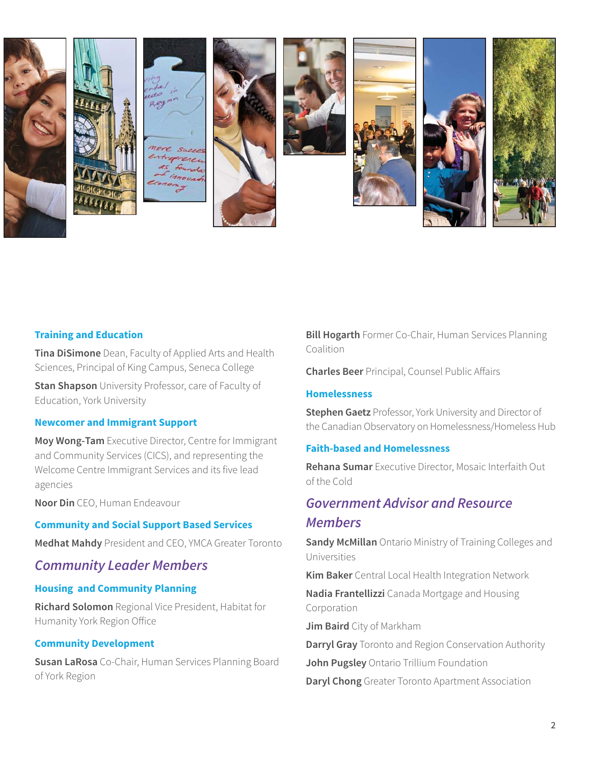

#### **Training and Education**

**Tina DiSimone** Dean, Faculty of Applied Arts and Health Sciences, Principal of King Campus, Seneca College

**Stan Shapson** University Professor, care of Faculty of Education, York University

#### **Newcomer and Immigrant Support**

**Moy Wong-Tam** Executive Director, Centre for Immigrant and Community Services (CICS), and representing the Welcome Centre Immigrant Services and its five lead agencies

**Noor Din** CEO, Human Endeavour

**Community and Social Support Based Services** 

**Medhat Mahdy** President and CEO, YMCA Greater Toronto

### **Community Leader Members**

#### **Housing and Community Planning**

**Richard Solomon** Regional Vice President, Habitat for Humanity York Region Office

#### **Community Development**

**Susan LaRosa** Co-Chair, Human Services Planning Board of York Region

**Bill Hogarth** Former Co-Chair, Human Services Planning Coalition

**Charles Beer** Principal, Counsel Public Affairs

#### **Homelessness**

**Stephen Gaetz** Professor, York University and Director of the Canadian Observatory on Homelessness/Homeless Hub

#### **Faith-based and Homelessness**

**Rehana Sumar** Executive Director, Mosaic Interfaith Out of the Cold

### **Government Advisor and Resource Members**

**Sandy McMillan** Ontario Ministry of Training Colleges and Universities

**Kim Baker** Central Local Health Integration Network

**Nadia Frantellizzi** Canada Mortgage and Housing Corporation

**Jim Baird** City of Markham

**Darryl Gray** Toronto and Region Conservation Authority

**John Pugsley** Ontario Trillium Foundation

**Daryl Chong** Greater Toronto Apartment Association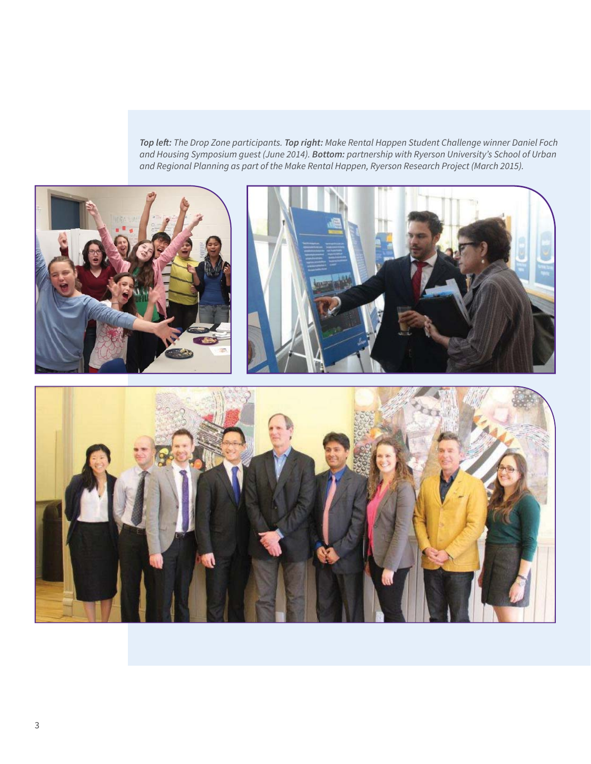**Top left:** The Drop Zone participants. **Top right:** Make Rental Happen Student Challenge winner Daniel Foch and Housing Symposium guest (June 2014). **Bottom:** partnership with Ryerson University's School of Urban and Regional Planning as part of the Make Rental Happen, Ryerson Research Project (March 2015).

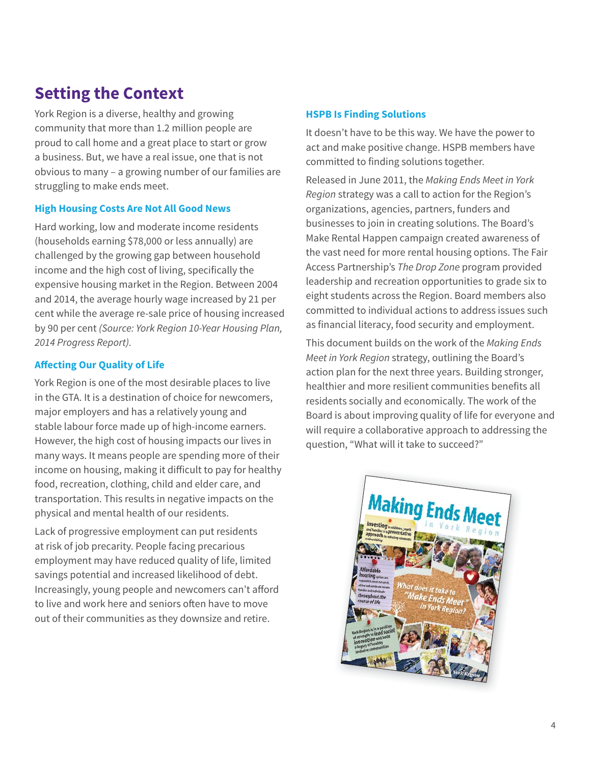### **Setting the Context**

York Region is a diverse, healthy and growing community that more than 1.2 million people are proud to call home and a great place to start or grow a business. But, we have a real issue, one that is not obvious to many – a growing number of our families are struggling to make ends meet.

### **High Housing Costs Are Not All Good News**

Hard working, low and moderate income residents (households earning \$78,000 or less annually) are challenged by the growing gap between household income and the high cost of living, specifically the expensive housing market in the Region. Between 2004 and 2014, the average hourly wage increased by 21 per cent while the average re-sale price of housing increased by 90 per cent (Source: York Region 10-Year Housing Plan, 2014 Progress Report).

### **Affecting Our Quality of Life**

York Region is one of the most desirable places to live in the GTA. It is a destination of choice for newcomers, major employers and has a relatively young and stable labour force made up of high-income earners. However, the high cost of housing impacts our lives in many ways. It means people are spending more of their income on housing, making it difficult to pay for healthy food, recreation, clothing, child and elder care, and transportation. This results in negative impacts on the physical and mental health of our residents.

Lack of progressive employment can put residents at risk of job precarity. People facing precarious employment may have reduced quality of life, limited savings potential and increased likelihood of debt. Increasingly, young people and newcomers can't afford to live and work here and seniors often have to move out of their communities as they downsize and retire.

#### **HSPB Is Finding Solutions**

It doesn't have to be this way. We have the power to act and make positive change. HSPB members have committed to finding solutions together.

Released in June 2011, the Making Ends Meet in York Region strategy was a call to action for the Region's organizations, agencies, partners, funders and businesses to join in creating solutions. The Board's Make Rental Happen campaign created awareness of the vast need for more rental housing options. The Fair Access Partnership's The Drop Zone program provided leadership and recreation opportunities to grade six to eight students across the Region. Board members also committed to individual actions to address issues such as financial literacy, food security and employment.

This document builds on the work of the Making Ends Meet in York Region strategy, outlining the Board's action plan for the next three years. Building stronger, healthier and more resilient communities benefits all residents socially and economically. The work of the Board is about improving quality of life for everyone and will require a collaborative approach to addressing the question, "What will it take to succeed?"

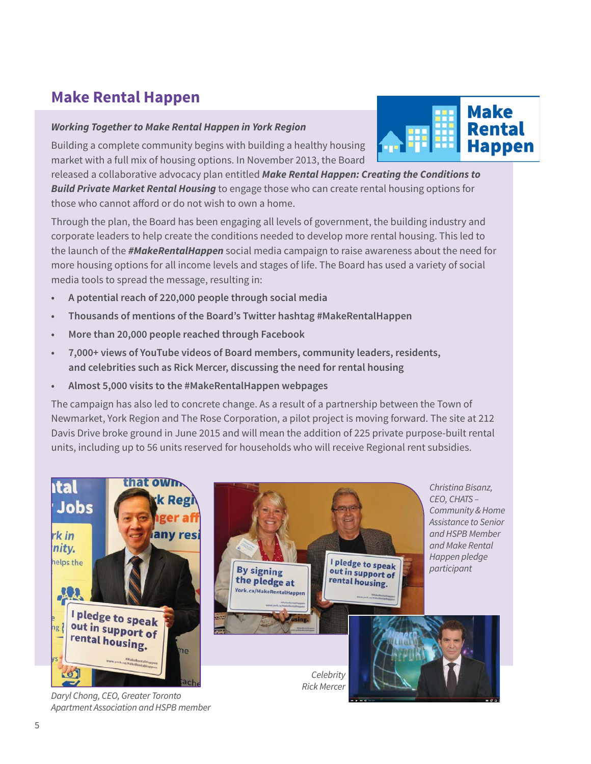### **Make Rental Happen**

### **Working Together to Make Rental Happen in York Region**

Building a complete community begins with building a healthy housing market with a full mix of housing options. In November 2013, the Board

released a collaborative advocacy plan entitled **Make Rental Happen: Creating the Conditions to Build Private Market Rental Housing** to engage those who can create rental housing options for those who cannot afford or do not wish to own a home.

Through the plan, the Board has been engaging all levels of government, the building industry and corporate leaders to help create the conditions needed to develop more rental housing. This led to the launch of the **#MakeRentalHappen** social media campaign to raise awareness about the need for more housing options for all income levels and stages of life. The Board has used a variety of social media tools to spread the message, resulting in:

- **A potential reach of 220,000 people through social media**
- **Thousands of mentions of the Board's Twitter hashtag #MakeRentalHappen**
- **More than 20,000 people reached through Facebook**
- **7,000+ views of YouTube videos of Board members, community leaders, residents, and celebrities such as Rick Mercer, discussing the need for rental housing**
- **Almost 5,000 visits to the #MakeRentalHappen webpages**

The campaign has also led to concrete change. As a result of a partnership between the Town of Newmarket, York Region and The Rose Corporation, a pilot project is moving forward. The site at 212 Davis Drive broke ground in June 2015 and will mean the addition of 225 private purpose-built rental units, including up to 56 units reserved for households who will receive Regional rent subsidies.



**Make** Rental **Happen**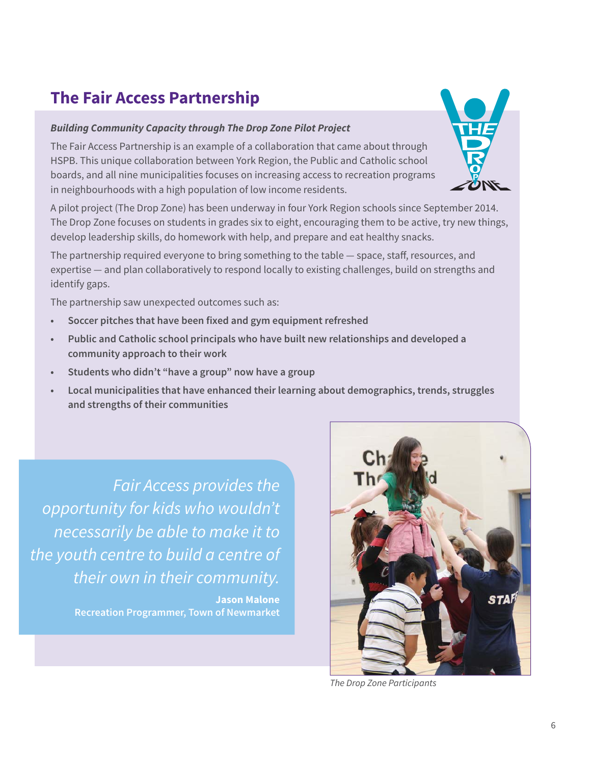### **The Fair Access Partnership**

### **Building Community Capacity through The Drop Zone Pilot Project**

The Fair Access Partnership is an example of a collaboration that came about through HSPB. This unique collaboration between York Region, the Public and Catholic school boards, and all nine municipalities focuses on increasing access to recreation programs in neighbourhoods with a high population of low income residents.

A pilot project (The Drop Zone) has been underway in four York Region schools since September 2014. The Drop Zone focuses on students in grades six to eight, encouraging them to be active, try new things, develop leadership skills, do homework with help, and prepare and eat healthy snacks.

The partnership required everyone to bring something to the table — space, staff, resources, and expertise — and plan collaboratively to respond locally to existing challenges, build on strengths and identify gaps.

The partnership saw unexpected outcomes such as:

- **Soccer pitches that have been fixed and gym equipment refreshed**
- **Public and Catholic school principals who have built new relationships and developed a community approach to their work**
- **Students who didn't "have a group" now have a group**
- **Local municipalities that have enhanced their learning about demographics, trends, struggles and strengths of their communities**

Fair Access provides the opportunity for kids who wouldn't necessarily be able to make it to the youth centre to build a centre of their own in their community.

> **Jason Malone Recreation Programmer, Town of Newmarket**



The Drop Zone Participants

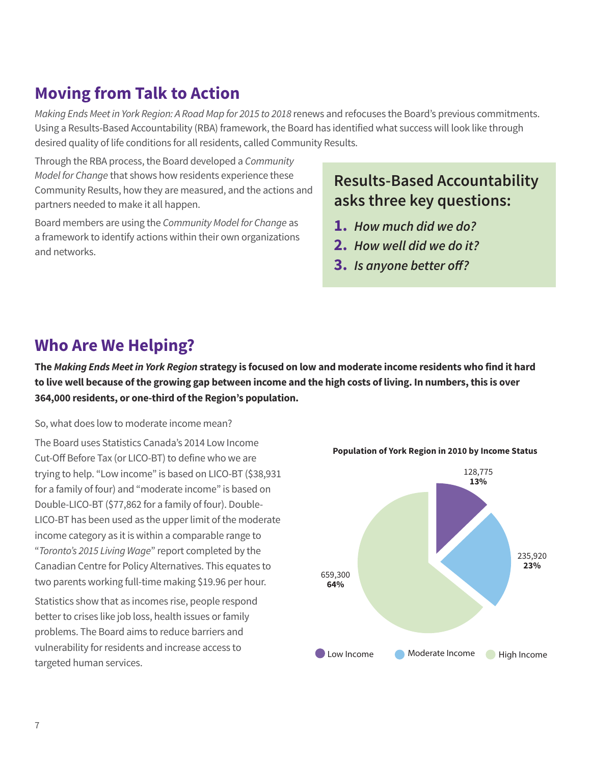### **Moving from Talk to Action**

Making Ends Meet in York Region: A Road Map for 2015 to 2018 renews and refocuses the Board's previous commitments. Using a Results-Based Accountability (RBA) framework, the Board has identified what success will look like through desired quality of life conditions for all residents, called Community Results.

Through the RBA process, the Board developed a Community Model for Change that shows how residents experience these Community Results, how they are measured, and the actions and partners needed to make it all happen.

Board members are using the Community Model for Change as a framework to identify actions within their own organizations and networks.

### **Results-Based Accountability asks three key questions:**

- **1. How much did we do?**
- **2. How well did we do it?**
- **3. Is anyone better off?**

### **Who Are We Helping?**

**The Making Ends Meet in York Region strategy is focused on low and moderate income residents who find it hard to live well because of the growing gap between income and the high costs of living. In numbers, this is over 364,000 residents, or one-third of the Region's population.** 

So, what does low to moderate income mean?

The Board uses Statistics Canada's 2014 Low Income **Population of York Region in 2010 by Income Status** Cut-Off Before Tax (or LICO-BT) to define who we are trying to help. "Low income" is based on LICO-BT (\$38,931 128,775 for a family of four) and "moderate income" is based on Double-LICO-BT (\$77,862 for a family of four). Double-LICO-BT has been used as the upper limit of the moderate income category as it is within a comparable range to "Toronto's 2015 Living Wage" report completed by the Canadian Centre for Policy Alternatives. This equates to 659,300 two parents working full-time making \$19.96 per hour. **64%** 

Statistics show that as incomes rise, people respond better to crises like job loss, health issues or family problems. The Board aims to reduce barriers and

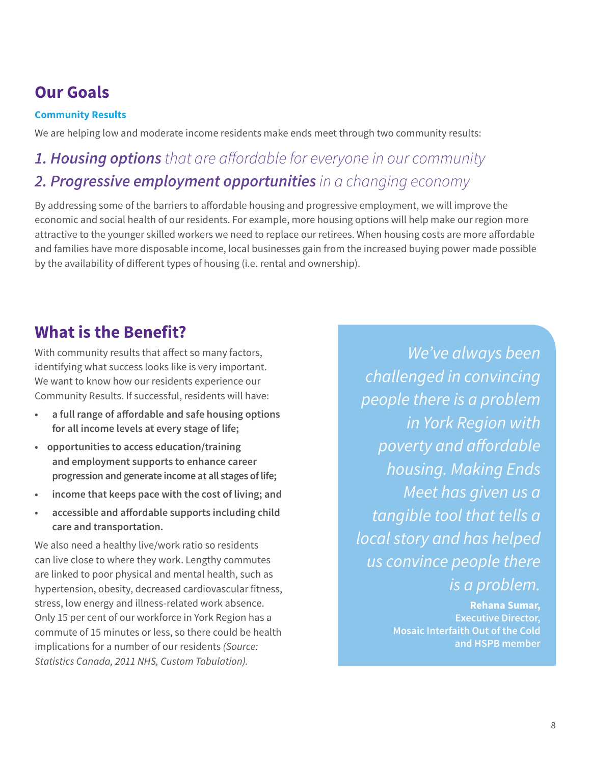### **Our Goals**

### **Community Results**

We are helping low and moderate income residents make ends meet through two community results:

### **1. Housing options** that are affordable for everyone in our community **2. Progressive employment opportunities** in a changing economy

By addressing some of the barriers to affordable housing and progressive employment, we will improve the economic and social health of our residents. For example, more housing options will help make our region more attractive to the younger skilled workers we need to replace our retirees. When housing costs are more affordable and families have more disposable income, local businesses gain from the increased buying power made possible by the availability of different types of housing (i.e. rental and ownership).

### **What is the Benefit?**

With community results that affect so many factors, We've always been identifying what success looks like is very important. Nentifying what success tooks tike is very important.<br>We want to know how our residents experience our challenged in convincing Community Results. If successful, residents will have:

- **a full range of affordable and safe housing options for all income levels at every stage of life;** in York Region with
- **opportunities to access education/training** *poverty and affordable*<br>and employment supports to enhance career and employment supports to enhance career **housing. Making Ends** progression and generate income at all stages of life; *housing. Making Ends*
- 
- **accessible and affordable supports including child that tells a care and transportation. Care and transportation.**

can live close to where they work. Lengthy commutes are linked to poor physical and mental health, such as <br>hypertension, obesity, decreased cardiovascular fitness. *is a problem.* hypertension, obesity, decreased cardiovascular fitness, stress, low energy and illness-related work absence. **Rehana Sumar,**  Only 15 per cent of our workforce in York Region has a **Executive Director,**  commute of 15 minutes or less, so there could be health **Mosaic Interfaith Out of the Cold**<br>
implications for a number of our residents *(Source*: and HSPB member implications for a number of our residents (Source: Statistics Canada, 2011 NHS, Custom Tabulation).

 people there is a problem **•** income that keeps pace with the cost of living; and **Meet has given us a** Local story and has helped<br>We also need a healthy live/work ratio so residents<br>Nocal Story and has helped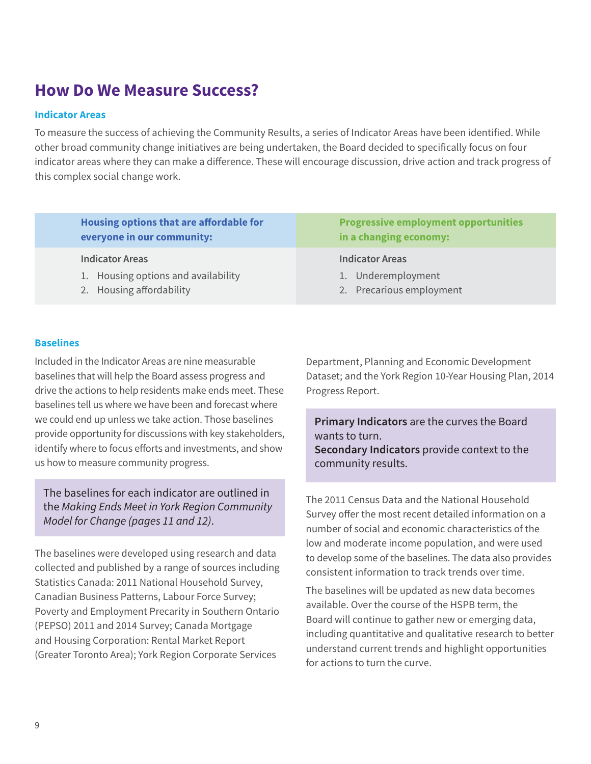### **How Do We Measure Success?**

#### **Indicator Areas**

To measure the success of achieving the Community Results, a series of Indicator Areas have been identified. While other broad community change initiatives are being undertaken, the Board decided to specifically focus on four indicator areas where they can make a difference. These will encourage discussion, drive action and track progress of this complex social change work.

| Housing options that are affordable for | <b>Progressive employment opportunities</b> |
|-----------------------------------------|---------------------------------------------|
| everyone in our community:              | in a changing economy:                      |
| <b>Indicator Areas</b>                  | <b>Indicator Areas</b>                      |
| 1. Housing options and availability     | 1. Underemployment                          |
| 2. Housing affordability                | 2. Precarious employment                    |

#### **Baselines**

Included in the Indicator Areas are nine measurable baselines that will help the Board assess progress and drive the actions to help residents make ends meet. These baselines tell us where we have been and forecast where we could end up unless we take action. Those baselines provide opportunity for discussions with key stakeholders, identify where to focus efforts and investments, and show us how to measure community progress.

The baselines for each indicator are outlined in the Making Ends Meet in York Region Community Model for Change (pages 11 and 12).

The baselines were developed using research and data collected and published by a range of sources including Statistics Canada: 2011 National Household Survey, Canadian Business Patterns, Labour Force Survey; Poverty and Employment Precarity in Southern Ontario (PEPSO) 2011 and 2014 Survey; Canada Mortgage and Housing Corporation: Rental Market Report (Greater Toronto Area); York Region Corporate Services

Department, Planning and Economic Development Dataset; and the York Region 10-Year Housing Plan, 2014 Progress Report.

**Primary Indicators** are the curves the Board wants to turn. **Secondary Indicators** provide context to the community results.

The 2011 Census Data and the National Household Survey offer the most recent detailed information on a number of social and economic characteristics of the low and moderate income population, and were used to develop some of the baselines. The data also provides consistent information to track trends over time.

The baselines will be updated as new data becomes available. Over the course of the HSPB term, the Board will continue to gather new or emerging data, including quantitative and qualitative research to better understand current trends and highlight opportunities for actions to turn the curve.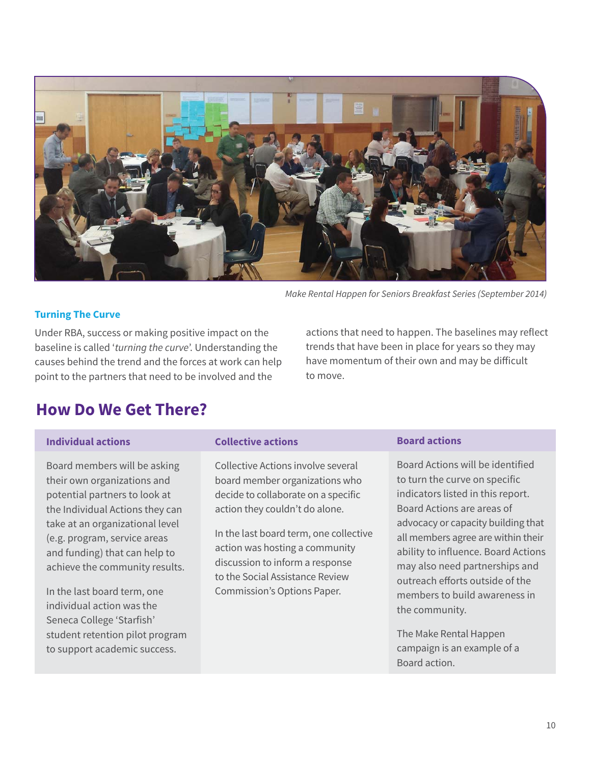

Make Rental Happen for Seniors Breakfast Series (September 2014)

### **Turning The Curve**

Under RBA, success or making positive impact on the baseline is called 'turning the curve'. Understanding the causes behind the trend and the forces at work can help point to the partners that need to be involved and the

actions that need to happen. The baselines may reflect trends that have been in place for years so they may have momentum of their own and may be difficult to move.

### **How Do We Get There?**

| <b>Individual actions</b>                                                                                                                                                                                                                                                                                                                                                                                                         | <b>Collective actions</b>                                                                                                                                                                                                                                                                                                      | <b>Board actions</b>                                                                                                                                                                                                                                                                                                                                                                                                                                      |
|-----------------------------------------------------------------------------------------------------------------------------------------------------------------------------------------------------------------------------------------------------------------------------------------------------------------------------------------------------------------------------------------------------------------------------------|--------------------------------------------------------------------------------------------------------------------------------------------------------------------------------------------------------------------------------------------------------------------------------------------------------------------------------|-----------------------------------------------------------------------------------------------------------------------------------------------------------------------------------------------------------------------------------------------------------------------------------------------------------------------------------------------------------------------------------------------------------------------------------------------------------|
| Board members will be asking<br>their own organizations and<br>potential partners to look at<br>the Individual Actions they can<br>take at an organizational level<br>(e.g. program, service areas<br>and funding) that can help to<br>achieve the community results.<br>In the last board term, one<br>individual action was the<br>Seneca College 'Starfish'<br>student retention pilot program<br>to support academic success. | Collective Actions involve several<br>board member organizations who<br>decide to collaborate on a specific<br>action they couldn't do alone.<br>In the last board term, one collective<br>action was hosting a community<br>discussion to inform a response<br>to the Social Assistance Review<br>Commission's Options Paper. | Board Actions will be identified<br>to turn the curve on specific<br>indicators listed in this report.<br>Board Actions are areas of<br>advocacy or capacity building that<br>all members agree are within their<br>ability to influence. Board Actions<br>may also need partnerships and<br>outreach efforts outside of the<br>members to build awareness in<br>the community.<br>The Make Rental Happen<br>campaign is an example of a<br>Board action. |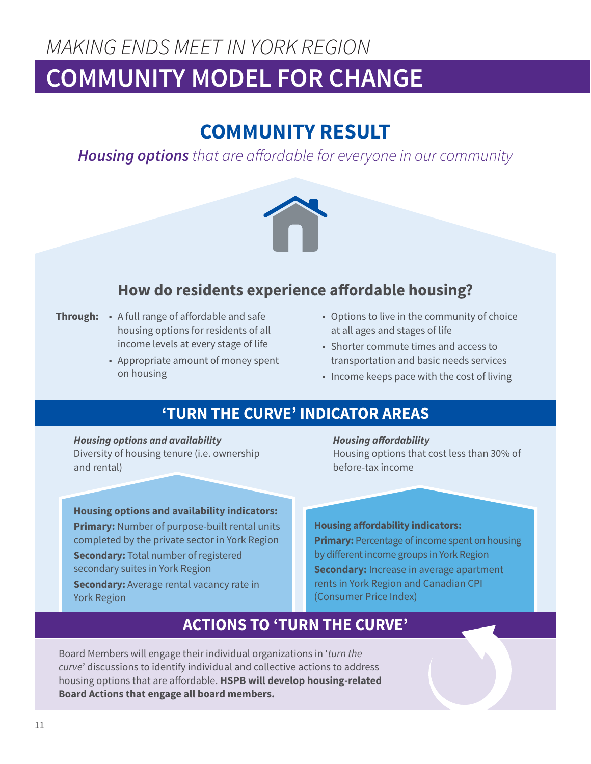# MAKING ENDS MEET IN YORK REGION

# **COMMUNITY MODEL FOR CHANGE**

# **COMMUNITY RESULT**

**Housing options** that are affordable for everyone in our community



### **How do residents experience affordable housing?**

- **Through:**  A full range of affordable and safe housing options for residents of all income levels at every stage of life
	- • Appropriate amount of money spent on housing
- Options to live in the community of choice at all ages and stages of life
- Shorter commute times and access to transportation and basic needs services
- Income keeps pace with the cost of living

### **'TURN THE CURVE' INDICATOR AREAS**

### **Housing options and availability**

Diversity of housing tenure (i.e. ownership and rental)

#### **Housing options and availability indicators:**

**Primary:** Number of purpose-built rental units completed by the private sector in York Region

**Secondary:** Total number of registered secondary suites in York Region

**Secondary:** Average rental vacancy rate in York Region

#### **Housing affordability**

Housing options that cost less than 30% of before-tax income

#### **Housing affordability indicators:**

**Primary:** Percentage of income spent on housing by different income groups in York Region

**Secondary:** Increase in average apartment rents in York Region and Canadian CPI (Consumer Price Index)

### **ACTIONS TO 'TURN THE CURVE'**

Board Members will engage their individual organizations in 'turn the curve' discussions to identify individual and collective actions to address housing options that are affordable. **HSPB will develop housing-related Board Actions that engage all board members.**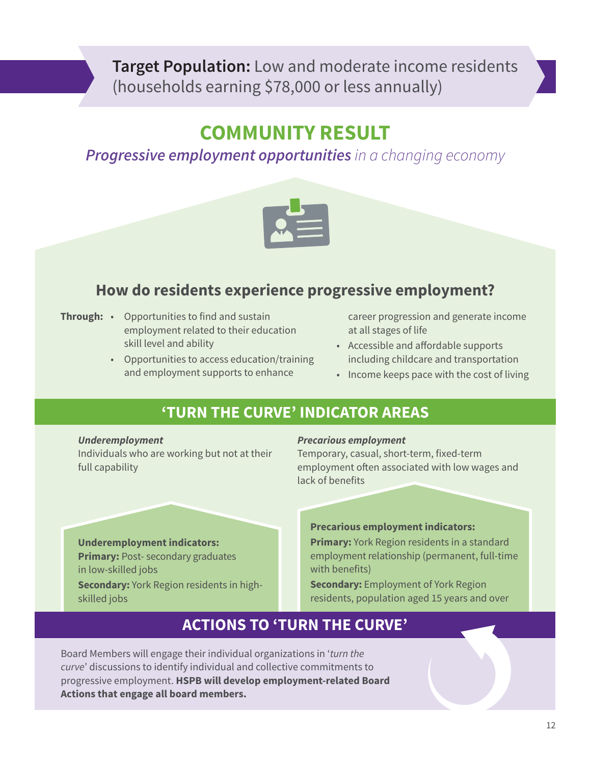### **Target Population:** Low and moderate income residents (households earning \$78,000 or less annually)

## **COMMUNITY RESULT**

### **Progressive employment opportunities** in a changing economy



### **How do residents experience progressive employment?**

- **Through:**  Opportunities to find and sustain employment related to their education skill level and ability
	- Opportunities to access education/training and employment supports to enhance

career progression and generate income at all stages of life

- Accessible and affordable supports including childcare and transportation
- Income keeps pace with the cost of living

### **'TURN THE CURVE' INDICATOR AREAS**

#### **Underemployment**

Individuals who are working but not at their full capability

#### **Precarious employment**

Temporary, casual, short-term, fixed-term employment often associated with low wages and lack of benefits

#### **Underemployment indicators:**

**Primary:** Post- secondary graduates in low-skilled jobs

**Secondary:** York Region residents in highskilled jobs

#### **Precarious employment indicators:**

**Primary:** York Region residents in a standard employment relationship (permanent, full-time with benefits)

**Secondary:** Employment of York Region residents, population aged 15 years and over

### **ACTIONS TO 'TURN THE CURVE'**

Board Members will engage their individual organizations in 'turn the curve' discussions to identify individual and collective commitments to progressive employment. **HSPB will develop employment-related Board Actions that engage all board members.**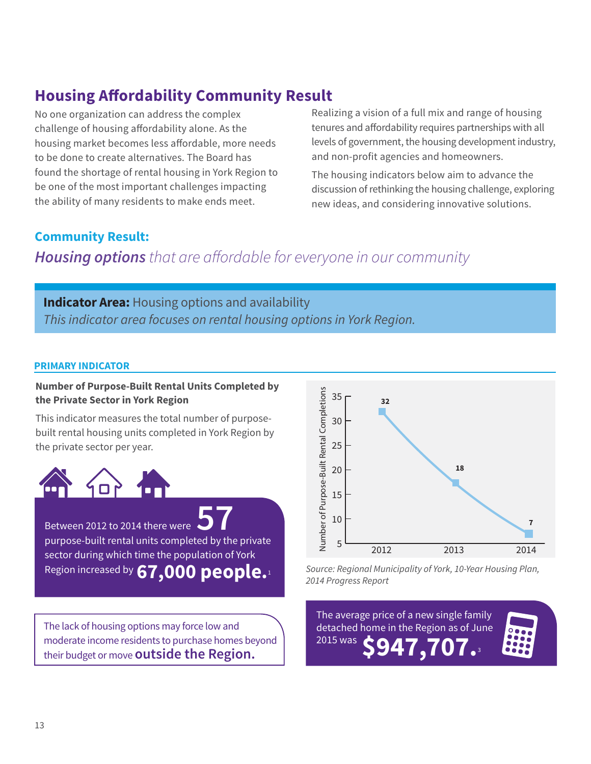### **Housing Affordability Community Result**

challenge of housing affordability alone. As the tenures and affordability requires partnerships with all housing market becomes less affordable, more needs levels of government, the housing development industry, to be done to create alternatives. The Board has and non-profit agencies and homeowners. found the shortage of rental housing in York Region to The housing indicators below aim to advance the<br>be one of the most important challenges impacting discussion of rethinking the housing challenge explo be one of the most important challenges impacting discussion of rethinking the housing challenge, exploring<br>the ability of many residents to make ends meet.

No one organization can address the complex Realizing a vision of a full mix and range of housing

new ideas, and considering innovative solutions.

### **Community Result:**

### **Housing options** that are affordable for everyone in our community

### **Indicator Area:** Housing options and availability This indicator area focuses on rental housing options in York Region.

### **PRIMARY INDICATOR**

### **Number of Purpose-Built Rental Units Completed by the Private Sector in York Region**

This indicator measures the total number of purpose built rental housing units completed in York Region by the private sector per year.



Between 2012 to 2014 there were purpose-built rental units completed by the private sector during which time the population of York **57** 

The lack of housing options may force low and moderate income residents to purchase homes beyond their budget or move **outside the Region.** 



Region increased by **67,000 people.**<sup>1</sup> Source: Regional Municipality of York, 10-Year Housing Plan, 2014 Progress Report

> The average price of a new single family detached home in the Region as of June 2015 was **\$947,707.**<sup>3</sup>

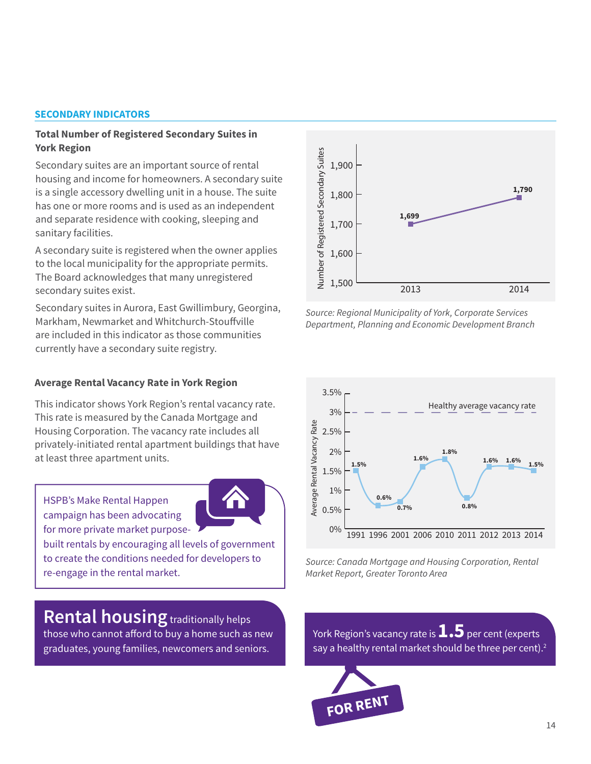#### **SECONDARY INDICATORS**

#### **Total Number of Registered Secondary Suites in York Region**

Secondary suites are an important source of rental housing and income for homeowners. A secondary suite is a single accessory dwelling unit in a house. The suite has one or more rooms and is used as an independent and separate residence with cooking, sleeping and sanitary facilities. From the secondary suites are an important source of rental<br>
is a single accessory dwelling unit in a house. The suite<br>
is a single accessory dwelling unit in a house. The suite<br>
thas one or more rooms and is used as an i

A secondary suite is registered when the owner applies to the local municipality for the appropriate permits. The Board acknowledges that many unregistered

Secondary suites in Aurora, East Gwillimbury, Georgina, Markham, Newmarket and Whitchurch-Stouffville are included in this indicator as those communities currently have a secondary suite registry.

#### **Average Rental Vacancy Rate in York Region**

This rate is measured by the Canada Mortgage and Housing Corporation. The vacancy rate includes all privately-initiated rental apartment buildings that have at least three apartment units.<br>at least three apartment units.<br>at least three apartment units.

HSPB's Make Rental Happen campaign has been advocating for more private market purpose-



built rentals by encouraging all levels of government to create the conditions needed for developers to re-engage in the rental market.

**Rental housing** traditionally helps those who cannot afford to buy a home such as new graduates, young families, newcomers and seniors.



 Source: Regional Municipality of York, Corporate Services Department, Planning and Economic Development Branch



Source: Canada Mortgage and Housing Corporation, Rental Market Report, Greater Toronto Area

York Region's vacancy rate is **1.5** per cent (experts say a healthy rental market should be three per cent).<sup>2</sup>

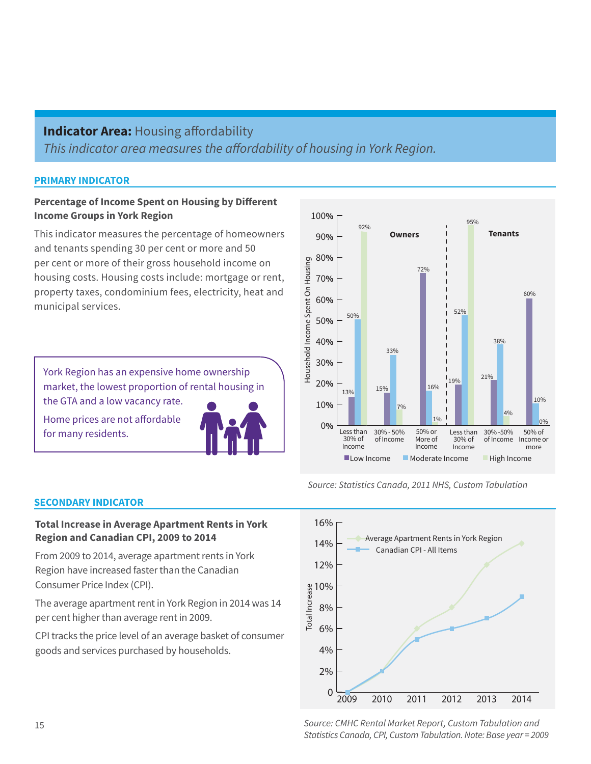### **Indicator Area: Housing affordability**

This indicator area measures the affordability of housing in York Region.

### **PRIMARY INDICATOR**

### **Percentage of Income Spent on Housing by Different Income Groups in York Region** 100**%**

This indicator measures the percentage of homeowners 90**%**  and tenants spending 30 per cent or more and 50 per cent or more of their gross household income on housing costs. Housing costs include: mortgage or rent, property taxes, condominium fees, electricity, heat and municipal services.

York Region has an expensive home ownership market, the lowest proportion of rental housing in the GTA and a low vacancy rate.

Home prices are not affordable for many residents.





Source: Statistics Canada, 2011 NHS, Custom Tabulation



Source: CMHC Rental Market Report, Custom Tabulation and Statistics Canada, CPI, Custom Tabulation. Note: Base year = 2009

#### **SECONDARY INDICATOR**

### **Total Increase in Average Apartment Rents in York Region and Canadian CPI, 2009 to 2014** 14%

From 2009 to 2014, average apartment rents in York<br>Region have increased faster than the Canadian Consumer Price Index (CPI).

The average apartment rent in York Region in 2014 was 14 per cent higher than average rent in 2009.

CPI tracks the price level of an average basket of consumer goods and services purchased by households. 4%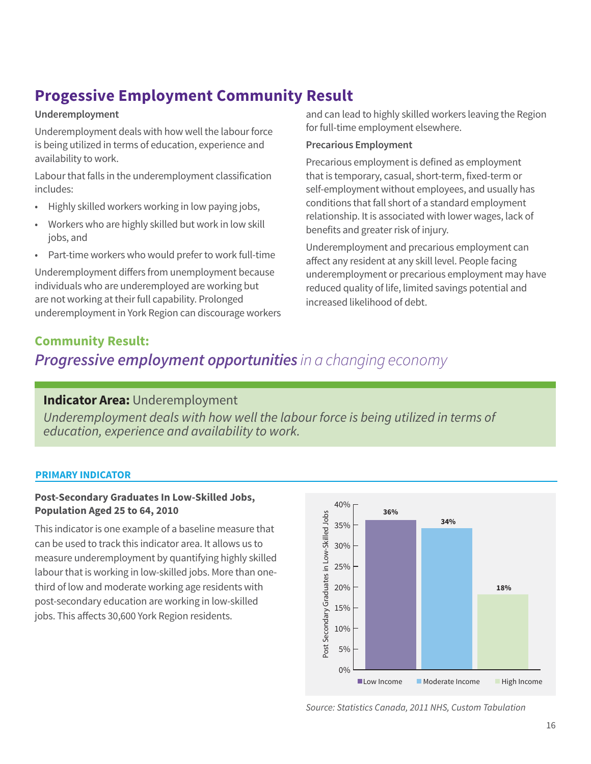### **Progessive Employment Community Result**

### **Underemployment**

Underemployment deals with how well the labour force is being utilized in terms of education, experience and availability to work.

Labour that falls in the underemployment classification includes:

- Highly skilled workers working in low paying jobs,
- Workers who are highly skilled but work in low skill jobs, and
- Part-time workers who would prefer to work full-time

Underemployment differs from unemployment because individuals who are underemployed are working but are not working at their full capability. Prolonged underemployment in York Region can discourage workers

### and can lead to highly skilled workers leaving the Region for full-time employment elsewhere.

### **Precarious Employment**

Precarious employment is defined as employment that is temporary, casual, short-term, fixed-term or self-employment without employees, and usually has conditions that fall short of a standard employment relationship. It is associated with lower wages, lack of benefits and greater risk of injury.

Underemployment and precarious employment can affect any resident at any skill level. People facing underemployment or precarious employment may have reduced quality of life, limited savings potential and increased likelihood of debt.

### **Community Result:**

### **Progressive employment opportunities** in a changing economy

### **Indicator Area:** Underemployment

Underemployment deals with how well the labour force is being utilized in terms of education, experience and availability to work.

### **PRIMARY INDICATOR**

# **Post-Secondary Graduates In Low-Skilled Jobs,**

**Population Aged 25 to 64, 2010**<br>
This indicator is one example of a baseline measure that<br>
can be used to track this indicator area. It allows us to<br>
measure underemployment by quantifying highly skilled<br>
labour that is w This indicator is one example of a baseline measure that can be used to track this indicator area. It allows us to measure underemployment by quantifying highly skilled labour that is working in low-skilled jobs. More than one third of low and moderate working age residents with post-secondary education are working in low-skilled jobs. This affects 30,600 York Region residents.



Source: Statistics Canada, 2011 NHS, Custom Tabulation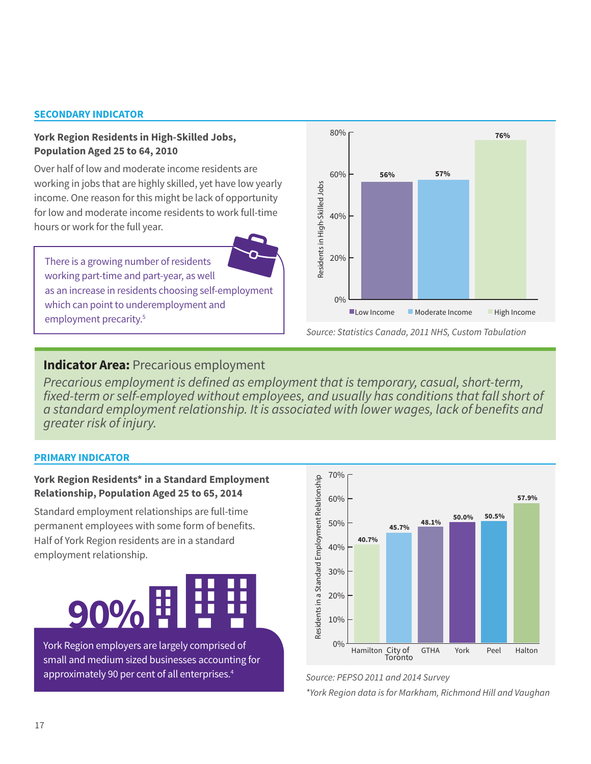#### **SECONDARY INDICATOR**

### **York Region Residents in High-Skilled Jobs,** 80% **Population Aged 25 to 64, 2010**

Over half of low and moderate income residents are  $\begin{array}{ccc} 60\% \\ 60\% \end{array}$  56% **57%** working in jobs that are highly skilled, yet have low yearly income. One reason for this might be lack of opportunity for low and moderate income residents to work full-time hours or work for the full year.

There is a growing number of residents working part-time and part-year, as well as an increase in residents choosing self-employment which can point to underemployment and employment precarity.<sup>5</sup>



Source: Statistics Canada, 2011 NHS, Custom Tabulation

### **Indicator Area:** Precarious employment

Precarious employment is defined as employment that is temporary, casual, short-term, fixed-term or self-employed without employees, and usually has conditions that fall short of a standard employment relationship. It is associated with lower wages, lack of benefits and greater risk of injury.

#### **PRIMARY INDICATOR**

# **York Region Residents\* in a Standard Employment**

Standard employment relationships are full-time permanent employees with some form of benefits. Half of York Region residents are in a standard employment relationship.



York Region employers are largely comprised of small and medium sized businesses accounting for approximately 90 per cent of all enterprises.4



Source: PEPSO 2011 and 2014 Survey

\*York Region data is for Markham, Richmond Hill and Vaughan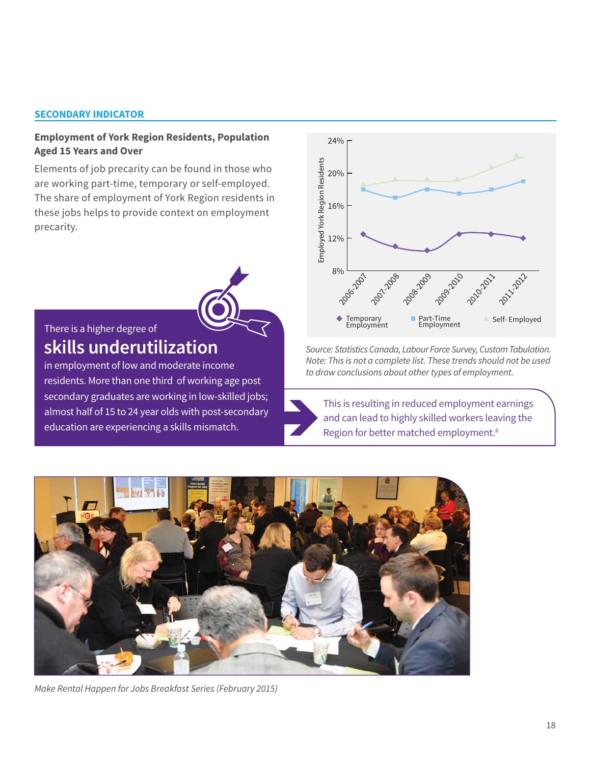### **SECONDARY INDICATOR**

### **Employment of York Region Residents, Population** 24% **Aged 15 Years and Over**

Elements of job precarity can be found in those who are working part-time, temporary or self-employed. The share of employment of York Region residents in these jobs helps to provide context on employment precarity.

### There is a higher degree of **skills underutilization**

residents. More than one third of working age post in employment of low and moderate income secondary graduates are working in low-skilled jobs; almost half of 15 to 24 year olds with post-secondary education are experiencing a skills mismatch.



Source: Statistics Canada, Labour Force Survey, Custom Tabulation. Note: This is not a complete list. These trends should not be used to draw conclusions about other types of employment.

Region for better matched employment.<sup>6</sup> This is resulting in reduced employment earnings and can lead to highly skilled workers leaving the



Make Rental Happen for Jobs Breakfast Series (February 2015)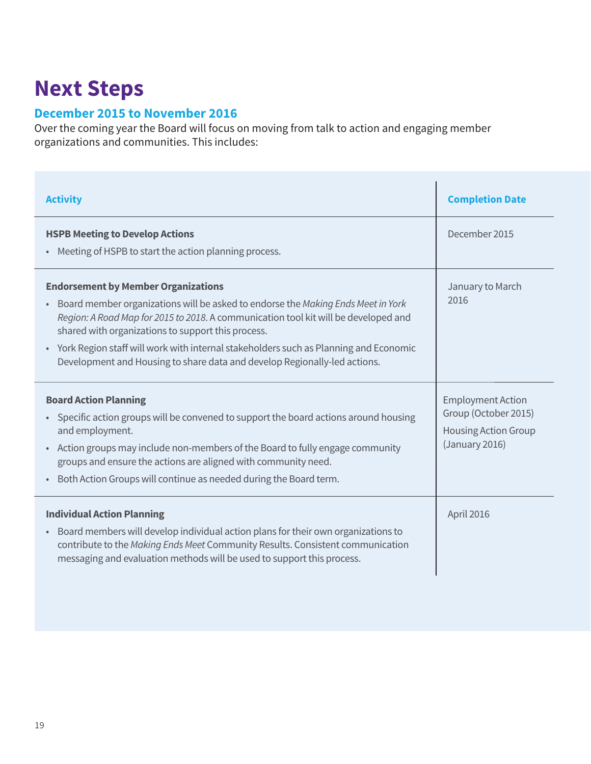# **Next Steps**

### **December 2015 to November 2016**

Over the coming year the Board will focus on moving from talk to action and engaging member organizations and communities. This includes:

| <b>Activity</b>                                                                                                                                                                                                                                                                                                                                                                                                                                      | <b>Completion Date</b>                                                                            |
|------------------------------------------------------------------------------------------------------------------------------------------------------------------------------------------------------------------------------------------------------------------------------------------------------------------------------------------------------------------------------------------------------------------------------------------------------|---------------------------------------------------------------------------------------------------|
| <b>HSPB Meeting to Develop Actions</b><br>• Meeting of HSPB to start the action planning process.                                                                                                                                                                                                                                                                                                                                                    | December 2015                                                                                     |
| <b>Endorsement by Member Organizations</b><br>• Board member organizations will be asked to endorse the Making Ends Meet in York<br>Region: A Road Map for 2015 to 2018. A communication tool kit will be developed and<br>shared with organizations to support this process.<br>• York Region staff will work with internal stakeholders such as Planning and Economic<br>Development and Housing to share data and develop Regionally-led actions. | January to March<br>2016                                                                          |
| <b>Board Action Planning</b><br>• Specific action groups will be convened to support the board actions around housing<br>and employment.<br>• Action groups may include non-members of the Board to fully engage community<br>groups and ensure the actions are aligned with community need.<br>Both Action Groups will continue as needed during the Board term.<br>$\bullet$                                                                       | <b>Employment Action</b><br>Group (October 2015)<br><b>Housing Action Group</b><br>(January 2016) |
| <b>Individual Action Planning</b><br>• Board members will develop individual action plans for their own organizations to<br>contribute to the Making Ends Meet Community Results. Consistent communication<br>messaging and evaluation methods will be used to support this process.                                                                                                                                                                 | April 2016                                                                                        |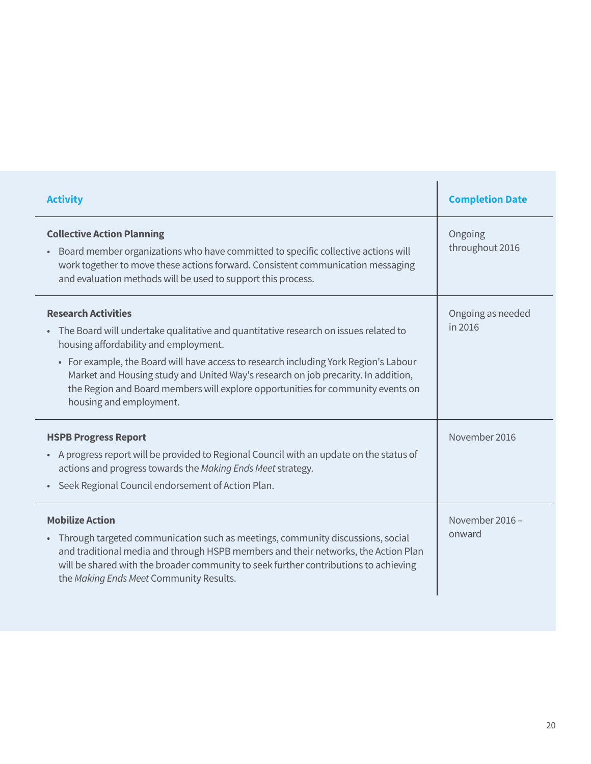| <b>Activity</b>                                                                                                                                                                                                                                                                                                                                                                                                                                         | <b>Completion Date</b>       |
|---------------------------------------------------------------------------------------------------------------------------------------------------------------------------------------------------------------------------------------------------------------------------------------------------------------------------------------------------------------------------------------------------------------------------------------------------------|------------------------------|
| <b>Collective Action Planning</b><br>• Board member organizations who have committed to specific collective actions will<br>work together to move these actions forward. Consistent communication messaging<br>and evaluation methods will be used to support this process.                                                                                                                                                                             | Ongoing<br>throughout 2016   |
| <b>Research Activities</b><br>• The Board will undertake qualitative and quantitative research on issues related to<br>housing affordability and employment.<br>• For example, the Board will have access to research including York Region's Labour<br>Market and Housing study and United Way's research on job precarity. In addition,<br>the Region and Board members will explore opportunities for community events on<br>housing and employment. | Ongoing as needed<br>in 2016 |
| <b>HSPB Progress Report</b><br>• A progress report will be provided to Regional Council with an update on the status of<br>actions and progress towards the Making Ends Meet strategy.<br>Seek Regional Council endorsement of Action Plan.<br>$\bullet$                                                                                                                                                                                                | November 2016                |
| <b>Mobilize Action</b><br>• Through targeted communication such as meetings, community discussions, social<br>and traditional media and through HSPB members and their networks, the Action Plan<br>will be shared with the broader community to seek further contributions to achieving<br>the Making Ends Meet Community Results.                                                                                                                     | November 2016 -<br>onward    |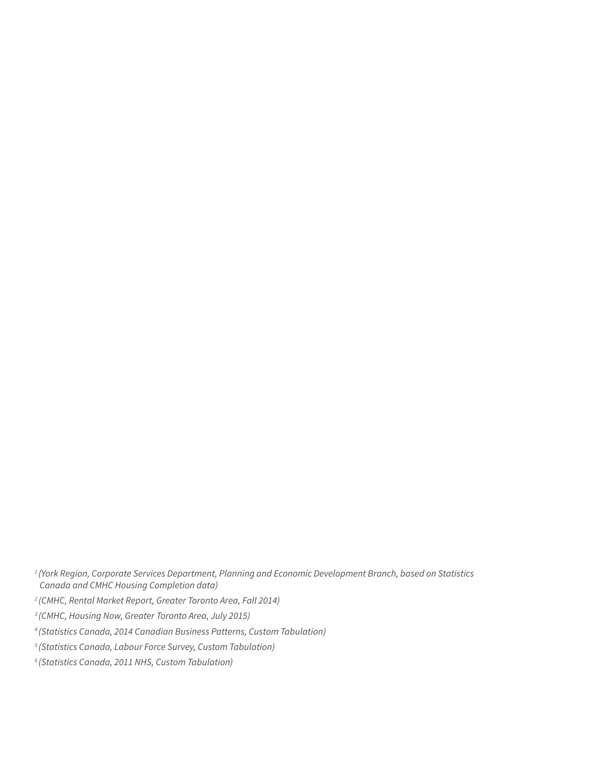<sup>1</sup> (York Region, Corporate Services Department, Planning and Economic Development Branch, based on Statistics Canada and CMHC Housing Completion data)

- 2 (CMHC, Rental Market Report, Greater Toronto Area, Fall 2014)
- 3 (CMHC, Housing Now, Greater Toronto Area, July 2015)
- 4 (Statistics Canada, 2014 Canadian Business Patterns, Custom Tabulation)
- 5 (Statistics Canada, Labour Force Survey, Custom Tabulation)
- <sup>6</sup> (Statistics Canada, 2011 NHS, Custom Tabulation)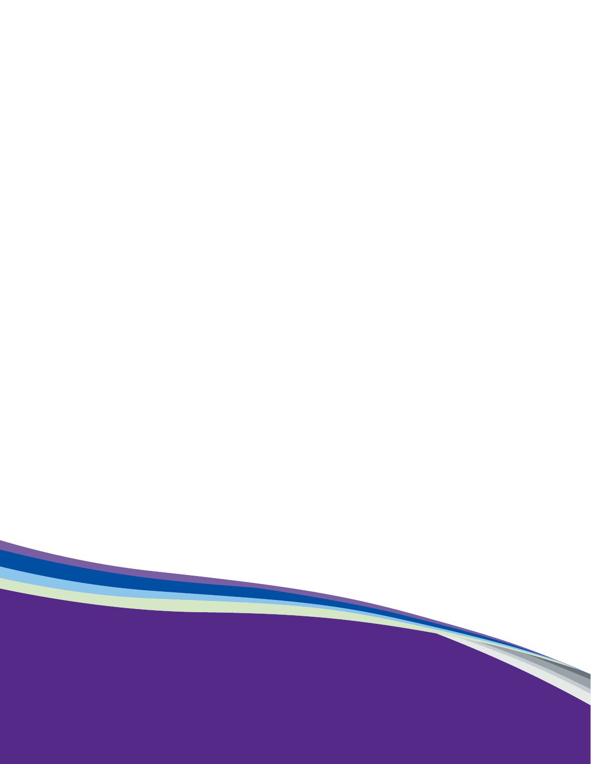